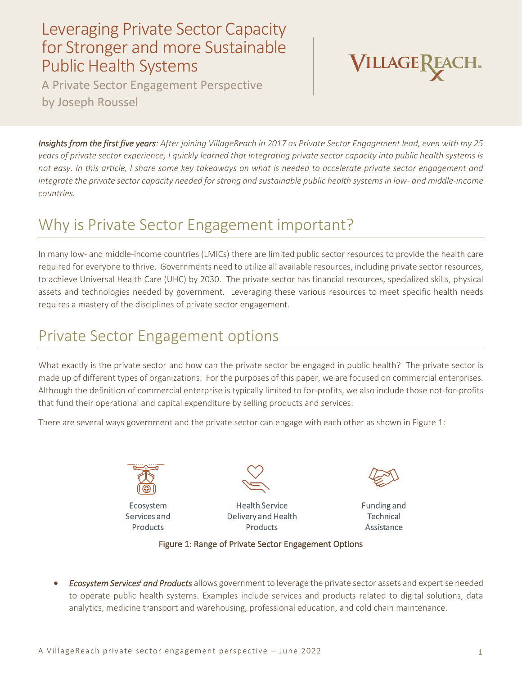## Leveraging Private Sector Capacity for Stronger and more Sustainable Public Health Systems

A Private Sector Engagement Perspective by Joseph Roussel



*Insights from the first five years: After joining VillageReach in 2017 as Private Sector Engagement lead, even with my 25 years of private sector experience, I quickly learned that integrating private sector capacity into public health systems is not easy. In this article, I share some key takeaways on what is needed to accelerate private sector engagement and integrate the private sector capacity needed for strong and sustainable public health systems in low- and middle-income countries.*

## Why is Private Sector Engagement important?

In many low- and middle-income countries (LMICs) there are limited public sector resources to provide the health care required for everyone to thrive. Governments need to utilize all available resources, including private sector resources, to achieve Universal Health Care (UHC) by 2030. The private sector has financial resources, specialized skills, physical assets and technologies needed by government. Leveraging these various resources to meet specific health needs requires a mastery of the disciplines of private sector engagement.

# Private Sector Engagement options

What exactly is the private sector and how can the private sector be engaged in public health? The private sector is made up of different types of organizations. For the purposes of this paper, we are focused on commercial enterprises. Although the definition of commercial enterprise is typically limited to for-profits, we also include those not-for-profits that fund their operational and capital expenditure by selling products and services.

There are several ways government and the private sector can engage with each other as shown in Figure 1:



Ecosystem Services and Products



**Health Service** Delivery and Health Products



Funding and Technical Assistance

#### Figure 1: Range of Private Sector Engagement Options

• *Ecosystem Services<sup>i</sup> and Products* allows government to leverage the private sector assets and expertise needed to operate public health systems. Examples include services and products related to digital solutions, data analytics, medicine transport and warehousing, professional education, and cold chain maintenance.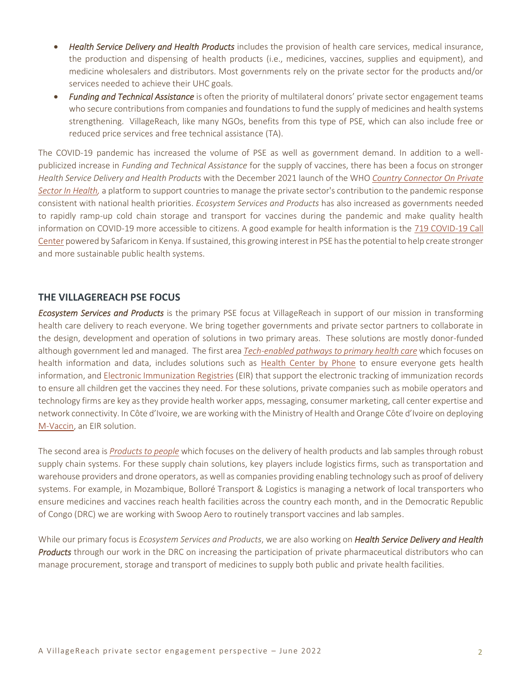- *Health Service Delivery and Health Products* includes the provision of health care services, medical insurance, the production and dispensing of health products (i.e., medicines, vaccines, supplies and equipment), and medicine wholesalers and distributors. Most governments rely on the private sector for the products and/or services needed to achieve their UHC goals.
- *Funding and Technical Assistance* is often the priority of multilateral donors' private sector engagement teams who secure contributions from companies and foundations to fund the supply of medicines and health systems strengthening. VillageReach, like many NGOs, benefits from this type of PSE, which can also include free or reduced price services and free technical assistance (TA).

The COVID-19 pandemic has increased the volume of PSE as well as government demand. In addition to a wellpublicized increase in *Funding and Technical Assistance* for the supply of vaccines, there has been a focus on stronger *Health Service Delivery and Health Products* with the December 2021 launch of the WHO *[Country Connector On Private](https://ccpsh.org/)  [Sector In Health,](https://ccpsh.org/)* a platform to support countries to manage the private sector's contribution to the pandemic response consistent with national health priorities. *Ecosystem Services and Products* has also increased as governments needed to rapidly ramp-up cold chain storage and transport for vaccines during the pandemic and make quality health information on COVID-19 more accessible to citizens. A good example for health information is the [719 COVID-19 Call](https://nation.africa/kenya/news/safaricom-20-000-call-covid-19-helpline-daily-286534)  [Center](https://nation.africa/kenya/news/safaricom-20-000-call-covid-19-helpline-daily-286534) powered by Safaricom in Kenya. If sustained, this growing interest in PSE has the potential to help create stronger and more sustainable public health systems.

#### **THE VILLAGEREACH PSE FOCUS**

*Ecosystem Services and Products* is the primary PSE focus at VillageReach in support of our mission in transforming health care delivery to reach everyone. We bring together governments and private sector partners to collaborate in the design, development and operation of solutions in two primary areas. These solutions are mostly donor-funded although government led and managed. The first area *Tech-enabled [pathways to primary health care](https://www.villagereach.org/what-we-do/pathways-to-phc/)* which focuses on health information and data, includes solutions such as [Health Center by Phone](https://www.villagereach.org/wp-content/uploads/2022/05/VR_HCBP_OverviewOnesheet_FINAL.pdf) to ensure everyone gets health information, an[d Electronic Immunization Registries](https://www.villagereach.org/wp-content/uploads/2020/07/Final-EIR-Landscape-Analysis.pdf) (EIR) that support the electronic tracking of immunization records to ensure all children get the vaccines they need. For these solutions, private companies such as mobile operators and technology firms are key as they provide health worker apps, messaging, consumer marketing, call center expertise and network connectivity. In Côte d'Ivoire, we are working with the Ministry of Health and Orange Côte d'Ivoire on deploying [M-Vaccin,](https://www.villagereach.org/wp-content/uploads/2022/03/M-Vaccin_Overview-CDI.pdf) an EIR solution.

The second area is *[Products to people](https://www.villagereach.org/what-we-do/products-to-people/)* which focuses on the delivery of health products and lab samples through robust supply chain systems. For these supply chain solutions, key players include logistics firms, such as transportation and warehouse providers and drone operators, as well as companies providing enabling technology such as proof of delivery systems. For example, in Mozambique, Bolloré Transport & Logistics is managing a network of local transporters who ensure medicines and vaccines reach health facilities across the country each month, and in the Democratic Republic of Congo (DRC) we are working with Swoop Aero to routinely transport vaccines and lab samples.

While our primary focus is *Ecosystem Services and Products*, we are also working on *Health Service Delivery and Health Products* through our work in the DRC onincreasing the participation of private pharmaceutical distributors who can manage procurement, storage and transport of medicines to supply both public and private health facilities.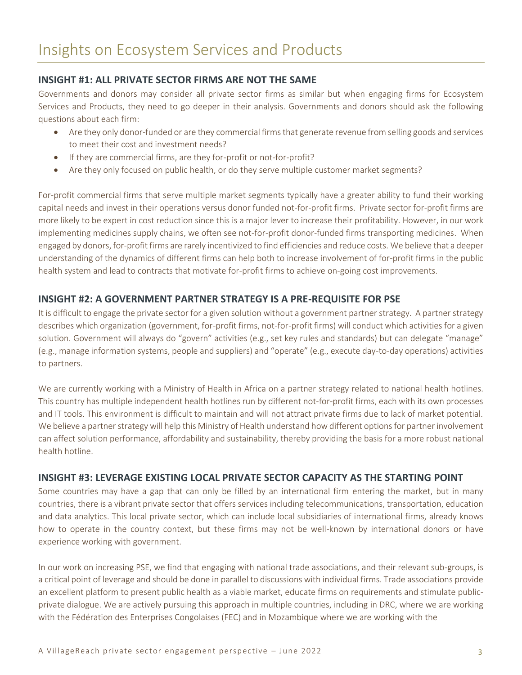### **INSIGHT #1: ALL PRIVATE SECTOR FIRMS ARE NOT THE SAME**

Governments and donors may consider all private sector firms as similar but when engaging firms for Ecosystem Services and Products, they need to go deeper in their analysis. Governments and donors should ask the following questions about each firm:

- Are they only donor-funded or are they commercial firms that generate revenue from selling goods and services to meet their cost and investment needs?
- If they are commercial firms, are they for-profit or not-for-profit?
- Are they only focused on public health, or do they serve multiple customer market segments?

For-profit commercial firms that serve multiple market segments typically have a greater ability to fund their working capital needs and invest in their operations versus donor funded not-for-profit firms. Private sector for-profit firms are more likely to be expert in cost reduction since this is a major lever to increase their profitability. However, in our work implementing medicines supply chains, we often see not-for-profit donor-funded firms transporting medicines. When engaged by donors, for-profit firms are rarely incentivized to find efficiencies and reduce costs. We believe that a deeper understanding of the dynamics of different firms can help both to increase involvement of for-profit firms in the public health system and lead to contracts that motivate for-profit firms to achieve on-going cost improvements.

### **INSIGHT #2: A GOVERNMENT PARTNER STRATEGY IS A PRE-REQUISITE FOR PSE**

It is difficult to engage the private sector for a given solution without a government partner strategy. A partner strategy describes which organization (government, for-profit firms, not-for-profit firms) will conduct which activities for a given solution. Government will always do "govern" activities (e.g., set key rules and standards) but can delegate "manage" (e.g., manage information systems, people and suppliers) and "operate" (e.g., execute day-to-day operations) activities to partners.

We are currently working with a Ministry of Health in Africa on a partner strategy related to national health hotlines. This country has multiple independent health hotlines run by different not-for-profit firms, each with its own processes and IT tools. This environment is difficult to maintain and will not attract private firms due to lack of market potential. We believe a partner strategy will help this Ministry of Health understand how different options for partner involvement can affect solution performance, affordability and sustainability, thereby providing the basis for a more robust national health hotline.

#### **INSIGHT #3: LEVERAGE EXISTING LOCAL PRIVATE SECTOR CAPACITY AS THE STARTING POINT**

Some countries may have a gap that can only be filled by an international firm entering the market, but in many countries, there is a vibrant private sector that offers services including telecommunications, transportation, education and data analytics. This local private sector, which can include local subsidiaries of international firms, already knows how to operate in the country context, but these firms may not be well-known by international donors or have experience working with government.

In our work on increasing PSE, we find that engaging with national trade associations, and their relevant sub-groups, is a critical point of leverage and should be done in parallel to discussions with individual firms. Trade associations provide an excellent platform to present public health as a viable market, educate firms on requirements and stimulate publicprivate dialogue. We are actively pursuing this approach in multiple countries, including in DRC, where we are working with the Fédération des Enterprises Congolaises (FEC) and in Mozambique where we are working with the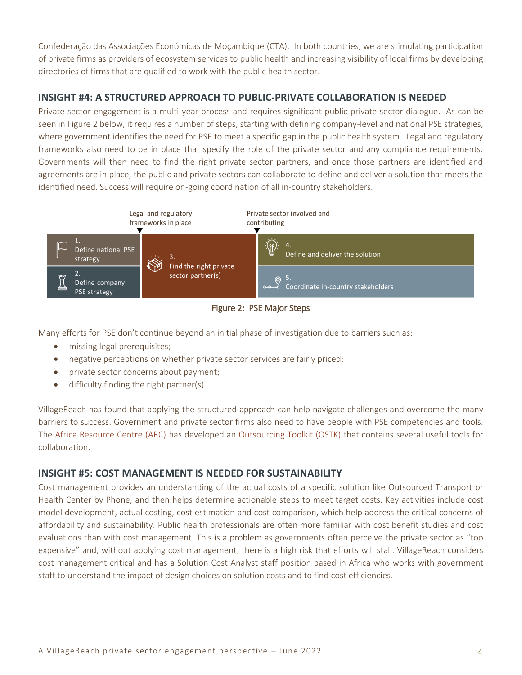Confederação das Associações Económicas de Moçambique (CTA). In both countries, we are stimulating participation of private firms as providers of ecosystem services to public health and increasing visibility of local firms by developing directories of firms that are qualified to work with the public health sector.

### **INSIGHT #4: A STRUCTURED APPROACH TO PUBLIC-PRIVATE COLLABORATION IS NEEDED**

Private sector engagement is a multi-year process and requires significant public-private sector dialogue. As can be seen in Figure 2 below, it requires a number of steps, starting with defining company-level and national PSE strategies, where government identifies the need for PSE to meet a specific gap in the public health system. Legal and regulatory frameworks also need to be in place that specify the role of the private sector and any compliance requirements. Governments will then need to find the right private sector partners, and once those partners are identified and agreements are in place, the public and private sectors can collaborate to define and deliver a solution that meets the identified need. Success will require on-going coordination of all in-country stakeholders.



Figure 2: PSE Major Steps

Many efforts for PSE don't continue beyond an initial phase of investigation due to barriers such as:

- missing legal prerequisites;
- negative perceptions on whether private sector services are fairly priced;
- private sector concerns about payment;
- difficulty finding the right partner(s).

VillageReach has found that applying the structured approach can help navigate challenges and overcome the many barriers to success. Government and private sector firms also need to have people with PSE competencies and tools. The [Africa Resource Centre](https://www.africaresourcecentre.org/) (ARC) has developed an [Outsourcing Toolkit \(OSTK\)](https://www.ostkonline.com/ostkv1-0/) that contains several useful tools for collaboration.

### **INSIGHT #5: COST MANAGEMENT IS NEEDED FOR SUSTAINABILITY**

Cost management provides an understanding of the actual costs of a specific solution like Outsourced Transport or Health Center by Phone, and then helps determine actionable steps to meet target costs. Key activities include cost model development, actual costing, cost estimation and cost comparison, which help address the critical concerns of affordability and sustainability. Public health professionals are often more familiar with cost benefit studies and cost evaluations than with cost management. This is a problem as governments often perceive the private sector as "too expensive" and, without applying cost management, there is a high risk that efforts will stall. VillageReach considers cost management critical and has a Solution Cost Analyst staff position based in Africa who works with government staff to understand the impact of design choices on solution costs and to find cost efficiencies.